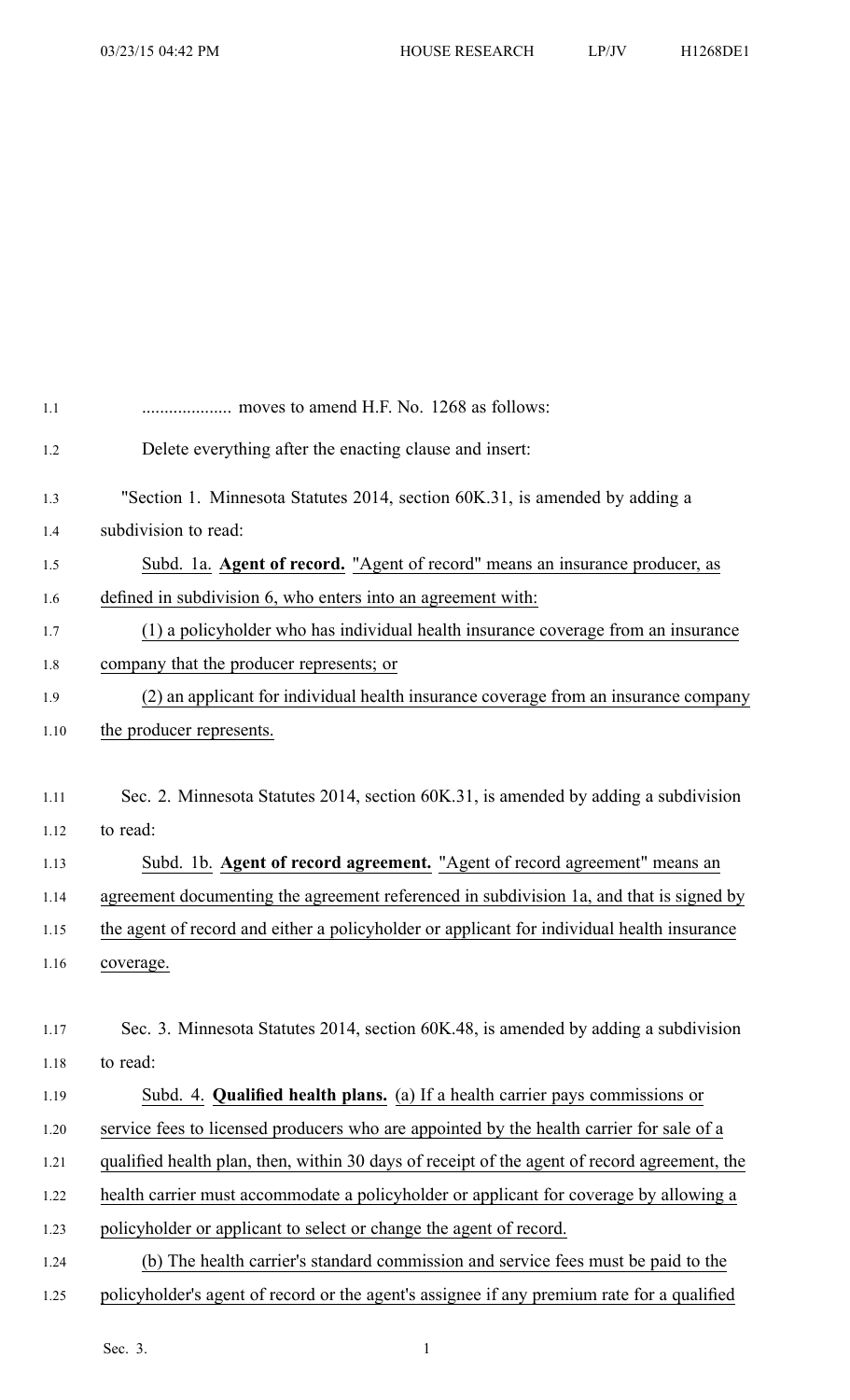| 1.1  |                                                                                              |
|------|----------------------------------------------------------------------------------------------|
| 1.2  | Delete everything after the enacting clause and insert:                                      |
| 1.3  | "Section 1. Minnesota Statutes 2014, section 60K.31, is amended by adding a                  |
| 1.4  | subdivision to read:                                                                         |
| 1.5  | Subd. 1a. Agent of record. "Agent of record" means an insurance producer, as                 |
| 1.6  | defined in subdivision 6, who enters into an agreement with:                                 |
| 1.7  | (1) a policyholder who has individual health insurance coverage from an insurance            |
| 1.8  | company that the producer represents; or                                                     |
| 1.9  | (2) an applicant for individual health insurance coverage from an insurance company          |
| 1.10 | the producer represents.                                                                     |
|      |                                                                                              |
| 1.11 | Sec. 2. Minnesota Statutes 2014, section 60K.31, is amended by adding a subdivision          |
| 1.12 | to read:                                                                                     |
| 1.13 | Subd. 1b. Agent of record agreement. "Agent of record agreement" means an                    |
| 1.14 | agreement documenting the agreement referenced in subdivision 1a, and that is signed by      |
| 1.15 | the agent of record and either a policyholder or applicant for individual health insurance   |
| 1.16 | coverage.                                                                                    |
|      |                                                                                              |
| 1.17 | Sec. 3. Minnesota Statutes 2014, section 60K.48, is amended by adding a subdivision          |
| 1.18 | to read:                                                                                     |
| 1.19 | Subd. 4. <b>Qualified health plans.</b> (a) If a health carrier pays commissions or          |
| 1.20 | service fees to licensed producers who are appointed by the health carrier for sale of a     |
| 1.21 | qualified health plan, then, within 30 days of receipt of the agent of record agreement, the |
| 1.22 | health carrier must accommodate a policyholder or applicant for coverage by allowing a       |
| 1.23 | policyholder or applicant to select or change the agent of record.                           |
| 1.24 | (b) The health carrier's standard commission and service fees must be paid to the            |
| 1.25 | policyholder's agent of record or the agent's assignee if any premium rate for a qualified   |